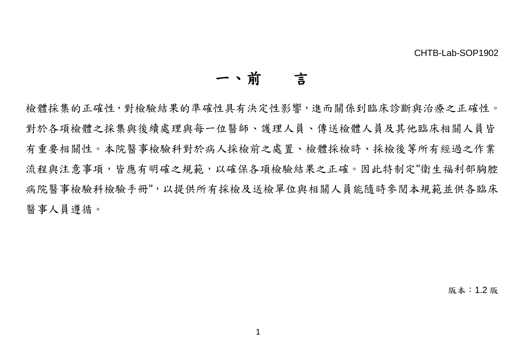### 一、前言

檢體採集的正確性,對檢驗結果的準確性具有決定性影響,進而關係到臨床診斷與治療之正確性。 對於各項檢體之採集與後續處理與每一位醫師、護理人員、傳送檢體人員及其他臨床相關人員皆 有重要相關性。本院醫事檢驗科對於病人採檢前之處置、檢體採檢時、採檢後等所有經過之作業 流程與注意事項,皆應有明確之規範,以確保各項檢驗結果之正確。因此特制定"衛生福利部胸腔 病院醫事檢驗科檢驗手冊",以提供所有採檢及送檢單位與相關人員能隨時參閱本規範並供各臨床 醫事人員遵循。

版本:1.2 版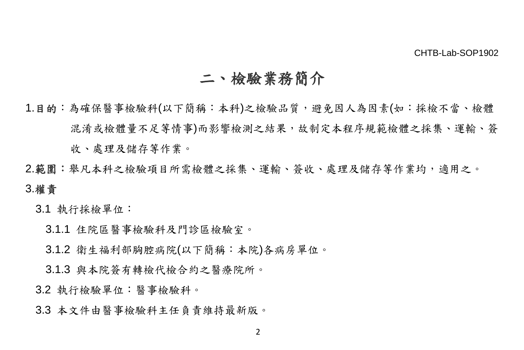## 二、檢驗業務簡介

- 1.目的:為確保醫事檢驗科(以下簡稱:本科)之檢驗品質,避免因人為因素(如:採檢不當、檢體 混淆或檢體量不足等情事)而影響檢測之結果,故制定本程序規範檢體之採集、運輸、簽 收、處理及儲存等作業。
- 2.範圍:舉凡本科之檢驗項目所需檢體之採集、運輸、簽收、處理及儲存等作業均,適用之。 3.權責
	- 3.1 執行採檢單位:
		- 3.1.1 住院區醫事檢驗科及門診區檢驗室。
		- 3.1.2 衛生福利部胸腔病院(以下簡稱:本院)各病房單位。
		- 3.1.3 與本院簽有轉檢代檢合約之醫療院所。
	- 3.2 執行檢驗單位:醫事檢驗科。
	- 3.3 本文件由醫事檢驗科主任負責維持最新版。

 $\mathfrak{p}$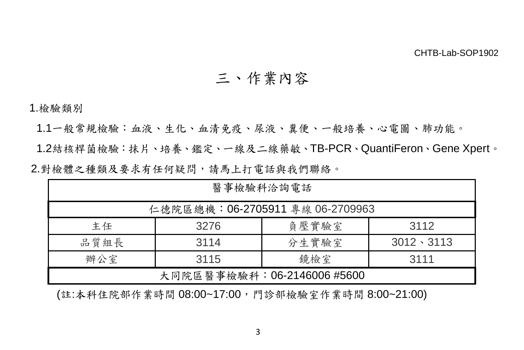### 三、作業內容

1.檢驗類別

1.1一般常規檢驗:血液、生化、血清免疫、尿液、糞便、一般培養、心電圖、肺功能。

1.2結核桿菌檢驗:抹片、培養、鑑定、一線及二線藥敏、TB-PCR、QuantiFeron、Gene Xpert。 2.對檢體之種類及要求有任何疑問,請馬上打電話與我們聯絡。

| 醫事檢驗科洽詢電話                   |                                 |                            |                   |  |  |  |  |  |
|-----------------------------|---------------------------------|----------------------------|-------------------|--|--|--|--|--|
|                             | 仁德院區總機:06-2705911 專線 06-2709963 |                            |                   |  |  |  |  |  |
| 負壓實驗室<br>3112<br>主任<br>3276 |                                 |                            |                   |  |  |  |  |  |
| 品質組長                        | 3114                            | 分生實驗室                      | $3012 \cdot 3113$ |  |  |  |  |  |
| 鏡檢室<br>辦公室<br>3115<br>3111  |                                 |                            |                   |  |  |  |  |  |
|                             |                                 | 大同院區醫事檢驗科:06-2146006 #5600 |                   |  |  |  |  |  |

(註:本科住院部作業時間 08:00~17:00,門診部檢驗室作業時間 8:00~21:00)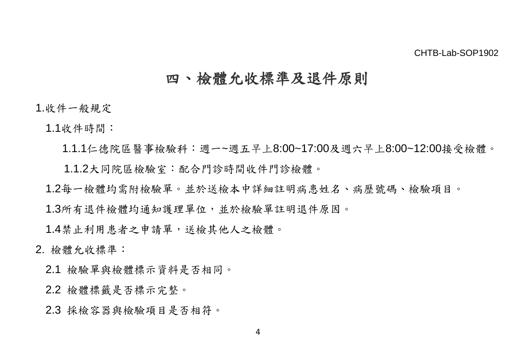### 四、檢體允收標準及退件原則

1.收件一般規定

1.1收件時間:

1.1.1仁德院區醫事檢驗科:週一~週五早上8:00~17:00及週六早上8:00~12:00接受檢體。 1.1.2大同院區檢驗室:配合門診時間收件門診檢體。

1.2每一檢體均需附檢驗單。並於送檢本中詳細註明病患姓名、病歷號碼、檢驗項目。

1.3所有退件檢體均通知護理單位,並於檢驗單註明退件原因。

1.4禁止利用患者之申請單,送檢其他人之檢體。

### 2. 檢體允收標準:

2.1 檢驗單與檢體標示資料是否相同。

2.2 檢體標籤是否標示完整。

2.3 採檢容器與檢驗項目是否相符。

4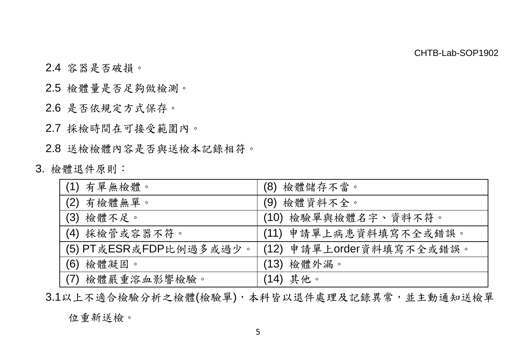- 2.4 容器是否破損。
- 2.5 檢體量是否足夠做檢測。
- 2.6 是否依規定方式保存。
- 2.7 採檢時間在可接受範圍內。

2.8 送檢檢體內容是否與送檢本記錄相符。

3. 檢體退件原則:

| (1) 有單無檢體。             | (8) 檢體儲存不當。              |
|------------------------|--------------------------|
| (2) 有檢體無單。             | (9) 檢體資料不全。              |
| (3) 檢體不足。              | (10) 檢驗單與檢體名字、資料不符。      |
| (4) 採檢管或容器不符。          | (11) 申請單上病患資料填寫不全或錯誤。    |
| (5) PT或ESR或FDP比例過多或過少。 | (12) 申請單上order資料填寫不全或錯誤。 |
| (6) 檢體凝固。              | (13) 檢體外漏。               |
| (7) 檢體嚴重溶血影響檢驗。        | (14) 其他。                 |

3.1以上不適合檢驗分析之檢體(檢驗單),本科皆以退件處理及記錄異常,並主動通知送檢單

位重新送檢。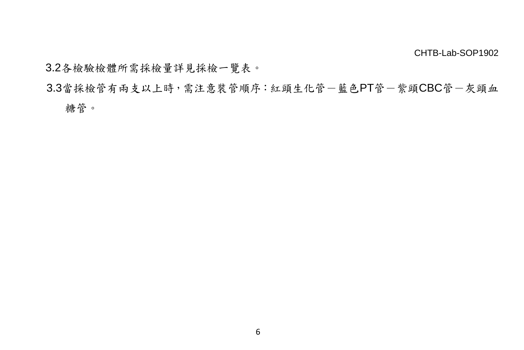3.2各檢驗檢體所需採檢量詳見採檢一覽表。

3.3當採檢管有兩支以上時,需注意裝管順序:紅頭生化管-藍色PT管-紫頭CBC管-灰頭血

糖管。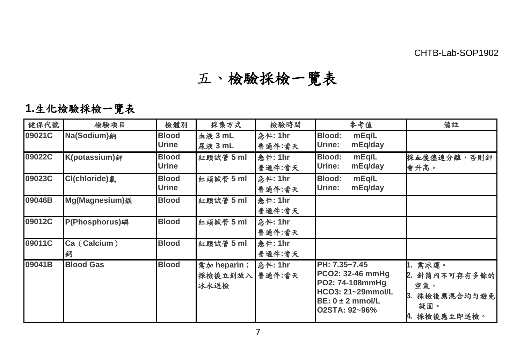# 五、檢驗採檢一覽表

**1.**生化檢驗採檢一覽表

| 健保代號   | 檢驗項目              | 檢體別                   | 採集方式                               | 檢驗時間                     | 參考值                                                                                                                | 備註                                                                   |
|--------|-------------------|-----------------------|------------------------------------|--------------------------|--------------------------------------------------------------------------------------------------------------------|----------------------------------------------------------------------|
| 09021C | Na(Sodium)鈉       | <b>Blood</b><br>Urine | <b>血液 3 mL</b><br>尿液 3 mL          | 急件: 1hr<br>普通件:當天        | Blood:<br>mEq/L<br>Urine:<br>mEq/day                                                                               |                                                                      |
| 09022C | K(potassium)鉀     | <b>Blood</b><br>Urine | 紅頭試管 5 ml                          | <b>急件: 1hr</b><br>普通件:當天 | Blood:<br>mEq/L<br>Urine:<br>mEq/day                                                                               | 採血後儘速分離,否則鉀<br>會升高。                                                  |
| 09023C | Cl(chloride)氯     | <b>Blood</b><br>Urine | 紅頭試管 5 ml                          | <b>急件: 1hr</b><br>普通件:當天 | Blood:<br>mEq/L<br>mEq/day<br>Urine:                                                                               |                                                                      |
| 09046B | Mg(Magnesium) 4   | <b>Blood</b>          | 紅頭試管 5 ml                          | <b>急件: 1hr</b><br>普通件:當天 |                                                                                                                    |                                                                      |
| 09012C | P(Phosphorus)磷    | <b>Blood</b>          | 紅頭試管 5 ml                          | <b>急件: 1hr</b><br>普通件:當天 |                                                                                                                    |                                                                      |
| 09011C | Ca (Calcium)<br>鈣 | <b>Blood</b>          | 紅頭試管 5 ml                          | <b>急件: 1hr</b><br>普通件:當天 |                                                                                                                    |                                                                      |
| 09041B | <b>Blood Gas</b>  | <b>Blood</b>          | $$m$$ heparin ;<br>採檢後立刻放入<br>冰水送檢 | 急件: 1hr<br>普通件:當天        | PH: 7.35~7.45<br>PCO2: 32-46 mmHg<br>PO2: 74-108mmHg<br>HCO3: 21~29mmol/L<br>$BE: 0 \pm 2$ mmol/L<br>O2STA: 92~96% | 1. 需冰運。<br>2. 針筒內不可存有多餘的<br>空氣。<br>採檢後應混合均勻避免<br>凝固。<br>4. 採檢後應立即送檢。 |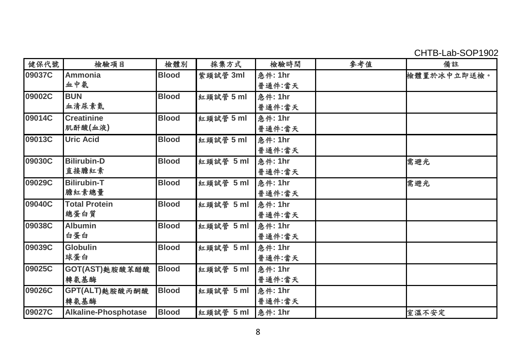CHTB-Lab-SOP1902

| 健保代號   | 檢驗項目                 | 檢體別          | 採集方式      | 檢驗時間            | 參考值 | 備註          |
|--------|----------------------|--------------|-----------|-----------------|-----|-------------|
| 09037C | Ammonia              | <b>Blood</b> | 紫頭試管 3ml  | <b>急件: 1hr</b>  |     | 檢體置於冰中立即送檢。 |
|        | 血中氨                  |              |           | 普通件:當天          |     |             |
| 09002C | <b>BUN</b>           | <b>Blood</b> | 紅頭試管 5 ml | <b>急件: 1hr</b>  |     |             |
|        | 血清尿素氮                |              |           | 普通件:當天          |     |             |
| 09014C | Creatinine           | <b>Blood</b> | 紅頭試管 5 ml | 急件: 1hr         |     |             |
|        | 肌酐酸(血液)              |              |           | 普通件:當天          |     |             |
| 09013C | <b>Uric Acid</b>     | <b>Blood</b> | 紅頭試管 5 ml | <b>急件: 1hr</b>  |     |             |
|        |                      |              |           | 普通件:當天          |     |             |
| 09030C | <b>Bilirubin-D</b>   | <b>Blood</b> | 紅頭試管 5 ml | <b>急件: 1hr</b>  |     | 需避光         |
|        | 直接膽紅素                |              |           | 普通件:當天          |     |             |
| 09029C | <b>Bilirubin-T</b>   | <b>Blood</b> | 紅頭試管 5 ml | <b>急件: 1hr</b>  |     | 需避光         |
|        | 膽紅素總量                |              |           | 普通件:當天          |     |             |
| 09040C | <b>Total Protein</b> | <b>Blood</b> | 紅頭試管 5 ml | 急件: 1hr         |     |             |
|        | 總蛋白質                 |              |           | 普通件:當天          |     |             |
| 09038C | <b>Albumin</b>       | <b>Blood</b> | 紅頭試管 5 ml | 急件: 1hr         |     |             |
|        | 白蛋白                  |              |           | 普通件:當天          |     |             |
| 09039C | Globulin             | <b>Blood</b> | 紅頭試管 5 ml | 急件: 1hr         |     |             |
|        | 球蛋白                  |              |           | 普通件:當天          |     |             |
| 09025C | GOT(AST) 处胺酸苯醋酸      | <b>Blood</b> | 紅頭試管 5 ml | 急件: 1hr         |     |             |
|        | 轉氨基酶                 |              |           | 普通件:當天          |     |             |
| 09026C | GPT(ALT)麩胺酸丙酮酸       | <b>Blood</b> | 紅頭試管 5 ml | <b>急件: 1hr</b>  |     |             |
|        | 轉氨基酶                 |              |           | 普通件:當天          |     |             |
| 09027C | Alkaline-Phosphotase | <b>Blood</b> | 紅頭試管 5 ml | <b> 急件: 1hr</b> |     | 室溫不安定       |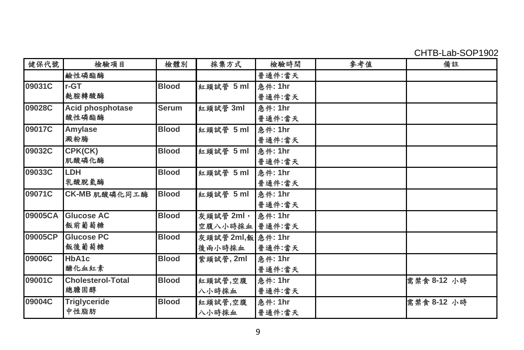CHTB-Lab-SOP1902

| 健保代號    | 檢驗項目                     | 檢體別          | 採集方式               | 檢驗時間           | 參考值 | 備註          |
|---------|--------------------------|--------------|--------------------|----------------|-----|-------------|
|         | 鹼性磷酯酶                    |              |                    | 普通件:當天         |     |             |
| 09031C  | $r-GT$                   | <b>Blood</b> | 紅頭試管 5 ml          | <b>急件: 1hr</b> |     |             |
|         | 麩胺轉酸酶                    |              |                    | 普通件:當天         |     |             |
| 09028C  | Acid phosphotase         | Serum        | 紅頭試管 3ml           | <b>急件: 1hr</b> |     |             |
|         | 酸性磷酯酶                    |              |                    | 普通件:當天         |     |             |
| 09017C  | Amylase                  | <b>Blood</b> | 紅頭試管 5 ml          | 急件: 1hr        |     |             |
|         | 澱粉酶                      |              |                    | 普通件:當天         |     |             |
| 09032C  | CPK(CK)                  | <b>Blood</b> | 紅頭試管 5 ml          | 急件: 1hr        |     |             |
|         | 肌酸磷化酶                    |              |                    | 普通件:當天         |     |             |
| 09033C  | <b>LDH</b>               | <b>Blood</b> | 紅頭試管 5 ml          | <b>急件: 1hr</b> |     |             |
|         | 乳酸脫氫酶                    |              |                    | 普通件:當天         |     |             |
| 09071C  | CK-MB 肌酸磷化同工酶            | <b>Blood</b> | 紅頭試管 5 ml          | <b>急件: 1hr</b> |     |             |
|         |                          |              |                    | 普通件:當天         |     |             |
| 09005CA | Glucose AC               | <b>Blood</b> | 灰頭試管 2ml,          | 急件: 1hr        |     |             |
|         | 飯前葡萄糖                    |              | 空腹八小時採血   普通件:當天   |                |     |             |
| 09005CP | <b>Glucose PC</b>        | <b>Blood</b> | 灰頭試管 2ml,飯 急件: 1hr |                |     |             |
|         | 飯後葡萄糖                    |              | 後兩小時採血             | 普通件:當天         |     |             |
| 09006C  | HbA1c                    | <b>Blood</b> | 紫頭試管, 2ml          | 急件: 1hr        |     |             |
|         | 醣化血红素                    |              |                    | 普通件:當天         |     |             |
| 09001C  | <b>Cholesterol-Total</b> | <b>Blood</b> | 紅頭試管,空腹            | 急件: 1hr        |     | 需禁食 8-12 小時 |
|         | 總膽固醇                     |              | 八小時採血              | 普通件:當天         |     |             |
| 09004C  | Triglyceride             | <b>Blood</b> | 紅頭試管,空腹            | 急件: 1hr        |     | 需禁食 8-12 小時 |
|         | 中性脂肪                     |              | 八小時採血              | 普通件:當天         |     |             |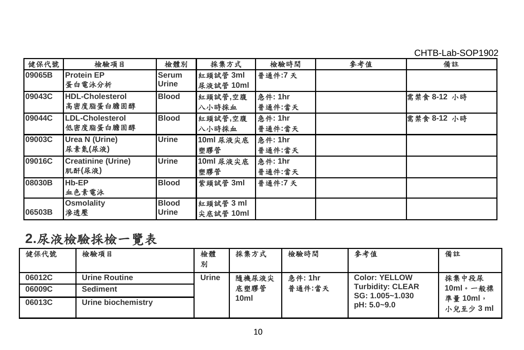CHTB-Lab-SOP1902

| 健保代號   | 檢驗項目                                | 檢體別                   | 採集方式                  | 檢驗時間                     | 參考值 | 備註          |
|--------|-------------------------------------|-----------------------|-----------------------|--------------------------|-----|-------------|
| 09065B | <b>Protein EP</b><br>蛋白電泳分析         | Serum<br>Urine        | 紅頭試管 3ml<br>尿液試管 10ml | 普通件:7天                   |     |             |
| 09043C | <b>HDL-Cholesterol</b><br>高密度脂蛋白膽固醇 | <b>Blood</b>          | 紅頭試管,空腹<br>八小時採血      | <b>急件: 1hr</b><br>普通件:當天 |     | 需禁食 8-12 小時 |
| 09044C | <b>LDL-Cholesterol</b><br>低密度脂蛋白膽固醇 | <b>Blood</b>          | 紅頭試管,空腹<br>八小時採血      | <b>急件: 1hr</b><br>普通件:當天 |     | 需禁食 8-12 小時 |
| 09003C | Urea N (Urine)<br>尿素氮(尿液)           | Urine                 | 10ml 尿液尖底<br>塑膠管      | 急件: 1hr<br>普通件:當天        |     |             |
| 09016C | <b>Creatinine (Urine)</b><br>肌酐(尿液) | Urine                 | 10ml 尿液尖底<br>塑膠管      | <b>急件: 1hr</b><br>普通件:當天 |     |             |
| 08030B | Hb-EP<br>血色素電泳                      | <b>Blood</b>          | 紫頭試管 3ml              | 普通件:7天                   |     |             |
| 06503B | <b>Osmolality</b><br>渗透壓            | <b>Blood</b><br>Urine | 紅頭試管3ml<br>尖底試管 10ml  |                          |     |             |

**2.**尿液檢驗採檢一覽表

| 健保代號   | 檢驗項目               | 檢體<br>別 | 採集方式             | 檢驗時間    | 參考值                                        | 備註                  |
|--------|--------------------|---------|------------------|---------|--------------------------------------------|---------------------|
| 06012C | Urine Routine      | Urine   | 隨機尿液尖            | 急件: 1hr | <b>Color: YELLOW</b>                       | 採集中段尿               |
| 06009C | <b>Sediment</b>    |         | 底塑膠管             | 普通件:當天  | <b>Turbidity: CLEAR</b><br>SG: 1.005~1.030 | 10ml。一般標            |
| 06013C | Urine biochemistry |         | 10 <sub>ml</sub> |         | pH: 5.0~9.0                                | 準量 10ml,<br>小兒至少3ml |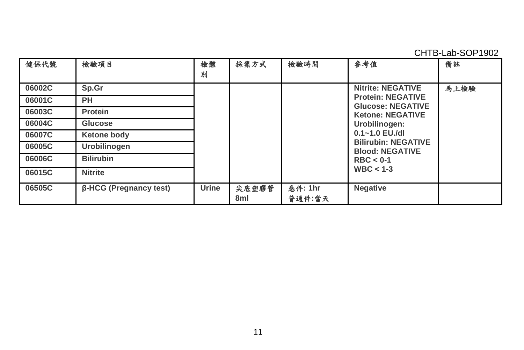CHTB-Lab-SOP1902

| 健保代號   | 檢驗項目                   | 檢體<br>別 | 採集方式         | 檢驗時間              | 參考值                                                  | 備註   |
|--------|------------------------|---------|--------------|-------------------|------------------------------------------------------|------|
| 06002C | Sp.Gr                  |         |              |                   | <b>Nitrite: NEGATIVE</b>                             | 馬上檢驗 |
| 06001C | <b>PH</b>              |         |              |                   | <b>Protein: NEGATIVE</b><br><b>Glucose: NEGATIVE</b> |      |
| 06003C | Protein                |         |              |                   | <b>Ketone: NEGATIVE</b>                              |      |
| 06004C | Glucose                |         |              |                   | Urobilinogen:                                        |      |
| 06007C | Ketone body            |         |              |                   | $0.1 - 1.0$ EU./dl                                   |      |
| 06005C | <b>Urobilinogen</b>    |         |              |                   | <b>Bilirubin: NEGATIVE</b><br><b>Blood: NEGATIVE</b> |      |
| 06006C | <b>Bilirubin</b>       |         |              |                   | $RBC < 0-1$                                          |      |
| 06015C | <b>Nitrite</b>         |         |              |                   | $WBC < 1-3$                                          |      |
| 06505C | β-HCG (Pregnancy test) | Urine   | 尖底塑膠管<br>8ml | 急件: 1hr<br>普通件:當天 | Negative                                             |      |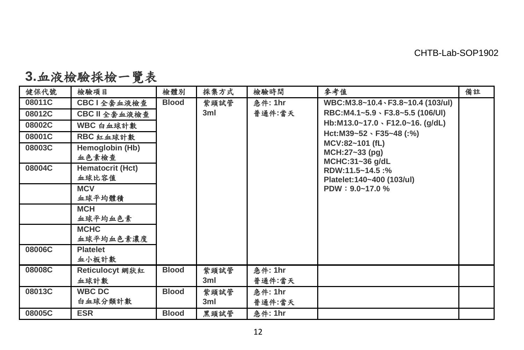| 健保代號   | 檢驗項目                      | 檢體別          | 採集方式        | 檢驗時間              | 參考值                                                              | 備註 |
|--------|---------------------------|--------------|-------------|-------------------|------------------------------------------------------------------|----|
| 08011C | CBC1全套血液檢查                | <b>Blood</b> | 紫頭試管        | 急件: 1hr           | WBC:M3.8~10.4 \ F3.8~10.4 (103/ul)                               |    |
| 08012C | CBC II 全套血液檢查             |              | 3ml         | 普通件:當天            | RBC:M4.1~5.9 \ F3.8~5.5 (106/UI)                                 |    |
| 08002C | WBC 白血球計數                 |              |             |                   | Hb:M13.0~17.0 \ F12.0~16. (g/dL)                                 |    |
| 08001C | RBC 紅血球計數                 |              |             |                   | Hct: M39~52 \ F35~48 (:%)                                        |    |
| 08003C | Hemoglobin (Hb)<br>血色素檢查  |              |             |                   | MCV:82~101 (fL)<br>MCH:27~33 (pg)                                |    |
| 08004C | Hematocrit (Hct)<br>血球比容值 |              |             |                   | MCHC:31~36 g/dL<br>RDW:11.5~14.5:%<br>Platelet: 140~400 (103/ul) |    |
|        | <b>MCV</b><br>血球平均體積      |              |             |                   | $PDW: 9.0 - 17.0 %$                                              |    |
|        | <b>MCH</b><br>血球平均血色素     |              |             |                   |                                                                  |    |
|        | <b>MCHC</b><br>血球平均血色素濃度  |              |             |                   |                                                                  |    |
| 08006C | <b>Platelet</b><br>血小板計數  |              |             |                   |                                                                  |    |
| 08008C | Reticulocyt 網狀紅<br>血球計數   | <b>Blood</b> | 紫頭試管<br>3ml | 急件: 1hr<br>普通件:當天 |                                                                  |    |
| 08013C | WBC DC<br>白血球分類計數         | <b>Blood</b> | 紫頭試管<br>3ml | 急件: 1hr<br>普通件:當天 |                                                                  |    |
| 08005C | <b>ESR</b>                | <b>Blood</b> | 黑頭試管        | 急件: 1hr           |                                                                  |    |

# **3.**血液檢驗採檢一覽表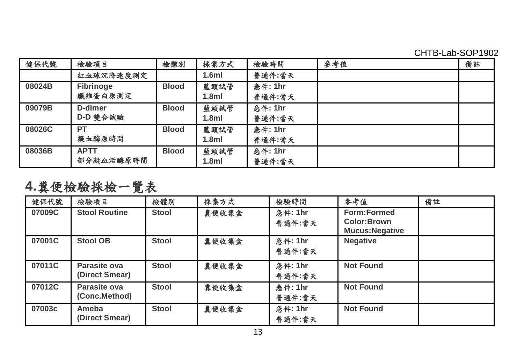CHTB-Lab-SOP1902

| 健保代號   | 檢驗項目                     | 檢體別          | 採集方式                     | 檢驗時間                     | 參考值 | 備註 |
|--------|--------------------------|--------------|--------------------------|--------------------------|-----|----|
|        | 紅血球沉降速度測定                |              | 1.6ml                    | 普通件:當天                   |     |    |
| 08024B | Fibrinoge<br>纖維蛋白原測定     | <b>Blood</b> | 藍頭試管<br>1.8 <sub>m</sub> | 急件: 1hr<br>普通件:當天        |     |    |
| 09079B | D-dimer<br>D-D 雙合試驗      | <b>Blood</b> | 藍頭試管<br>1.8 <sub>m</sub> | <b>急件: 1hr</b><br>普通件:當天 |     |    |
| 08026C | <b>PT</b><br>凝血酶原時間      | <b>Blood</b> | 藍頭試管<br>1.8 <sub>m</sub> | 急件: 1hr<br>普通件:當天        |     |    |
| 08036B | <b>APTT</b><br>部分凝血活酶原時間 | <b>Blood</b> | 藍頭試管<br>1.8 <sub>m</sub> | 急件: 1hr<br>普通件:當天        |     |    |

**4.**糞便檢驗採檢一覽表

| 健保代號   | 檢驗項目                           | 檢體別   | 採集方式  | 檢驗時間              | 參考值                                           | 備註 |
|--------|--------------------------------|-------|-------|-------------------|-----------------------------------------------|----|
| 07009C | <b>Stool Routine</b>           | Stool | 翼便收集盒 | 急件: 1hr<br>普通件:當天 | Form:Formed<br>Color:Brown<br>Mucus: Negative |    |
| 07001C | Stool OB                       | Stool | 翼便收集盒 | 急件: 1hr<br>普通件:當天 | <b>Negative</b>                               |    |
| 07011C | Parasite ova<br>(Direct Smear) | Stool | 翼便收集盒 | 急件: 1hr<br>普通件:當天 | <b>Not Found</b>                              |    |
| 07012C | Parasite ova<br>(Conc.Method)  | Stool | 豊便收集盒 | 急件: 1hr<br>普通件:當天 | <b>Not Found</b>                              |    |
| 07003c | Ameba<br>(Direct Smear)        | Stool | 豊便收集金 | 急件: 1hr<br>普通件:當天 | <b>Not Found</b>                              |    |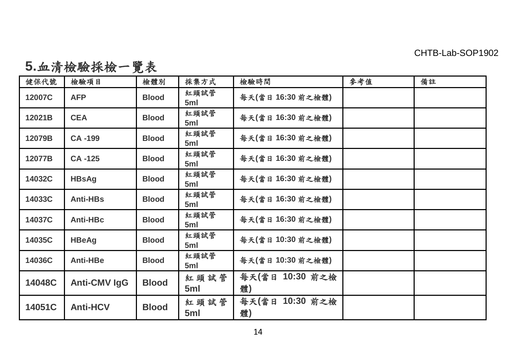**5.**血清檢驗採檢一覽表

| 健保代號   | 檢驗項目            | 檢體別          | 採集方式        | 檢驗時間                  | 參考值 | 備註 |
|--------|-----------------|--------------|-------------|-----------------------|-----|----|
| 12007C | <b>AFP</b>      | <b>Blood</b> | 紅頭試管<br>5ml | 每天(當日16:30前之檢體)       |     |    |
| 12021B | <b>CEA</b>      | <b>Blood</b> | 紅頭試管<br>5ml | 每天(當日16:30前之檢體)       |     |    |
| 12079B | CA-199          | <b>Blood</b> | 紅頭試管<br>5ml | 每天(當日16:30前之檢體)       |     |    |
| 12077B | CA-125          | <b>Blood</b> | 紅頭試管<br>5ml | 每天(當日16:30前之檢體)       |     |    |
| 14032C | <b>HBsAg</b>    | <b>Blood</b> | 紅頭試管<br>5ml | 每天(當日16:30前之檢體)       |     |    |
| 14033C | Anti-HBs        | <b>Blood</b> | 紅頭試管<br>5ml | 每天(當日16:30前之檢體)       |     |    |
| 14037C | Anti-HBc        | <b>Blood</b> | 紅頭試管<br>5ml | 每天(當日16:30前之檢體)       |     |    |
| 14035C | <b>HBeAg</b>    | <b>Blood</b> | 紅頭試管<br>5ml | 每天(當日10:30前之檢體)       |     |    |
| 14036C | Anti-HBe        | <b>Blood</b> | 紅頭試管<br>5ml | 每天(當日10:30前之檢體)       |     |    |
| 14048C | Anti-CMV IgG    | <b>Blood</b> | 紅頭試管<br>5ml | 每天(當日 10:30 前之檢<br>躄) |     |    |
| 14051C | <b>Anti-HCV</b> | <b>Blood</b> | 紅頭試管<br>5ml | 每天(當日 10:30 前之檢<br>躄) |     |    |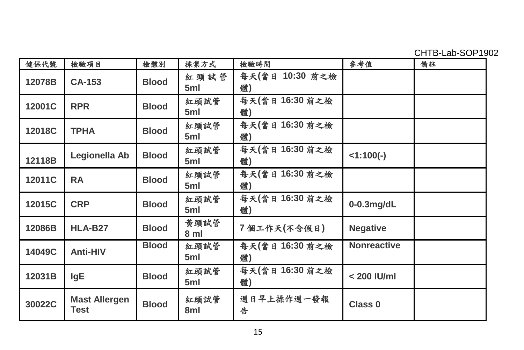CHTB-Lab-SOP1902

| 健保代號   | 檢驗項目                         | 檢體別          | 採集方式         | 檢驗時間                  | 參考值                | 備註 |
|--------|------------------------------|--------------|--------------|-----------------------|--------------------|----|
| 12078B | CA-153                       | <b>Blood</b> | 紅頭試管<br>5ml  | 每天(當日 10:30 前之檢<br>體) |                    |    |
| 12001C | <b>RPR</b>                   | <b>Blood</b> | 紅頭試管<br>5ml  | 每天(當日16:30前之檢<br>體)   |                    |    |
| 12018C | <b>TPHA</b>                  | <b>Blood</b> | 紅頭試管<br>5ml  | 每天(當日16:30前之檢<br>體)   |                    |    |
| 12118B | Legionella Ab                | <b>Blood</b> | 紅頭試管<br>5ml  | 每天(當日16:30前之檢<br>躄)   | $<1:100(-)$        |    |
| 12011C | <b>RA</b>                    | <b>Blood</b> | 紅頭試管<br>5ml  | 每天(當日 16:30 前之檢<br>體) |                    |    |
| 12015C | <b>CRP</b>                   | <b>Blood</b> | 紅頭試管<br>5ml  | 每天(當日16:30前之檢<br>躄)   | $0-0.3$ mg/dL      |    |
| 12086B | HLA-B27                      | <b>Blood</b> | 黃頭試管<br>8 ml | 7個工作天(不含假日)           | <b>Negative</b>    |    |
| 14049C | Anti-HIV                     | <b>Blood</b> | 紅頭試管<br>5ml  | 每天(當日16:30前之檢<br>體)   | <b>Nonreactive</b> |    |
| 12031B | IgE                          | <b>Blood</b> | 紅頭試管<br>5ml  | 每天(當日16:30前之檢<br>體)   | $< 200$ IU/ml      |    |
| 30022C | <b>Mast Allergen</b><br>Test | <b>Blood</b> | 紅頭試管<br>8ml  | 週日早上操作週一發報<br>告       | Class <sub>0</sub> |    |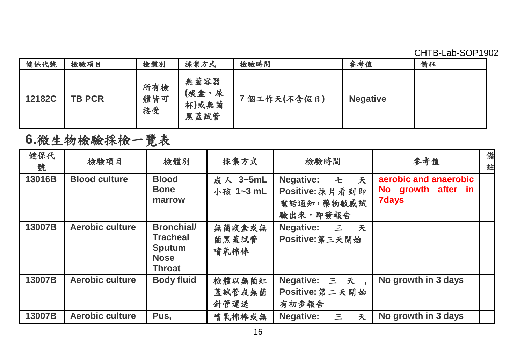CHTB-Lab-SOP1902

| 健保代號   | 檢驗項目          | 檢體別              | 採集方式                           | 檢驗時間        | 參考值             | 備註 |
|--------|---------------|------------------|--------------------------------|-------------|-----------------|----|
| 12182C | <b>TB PCR</b> | 所有檢<br>體皆可<br>接受 | 無菌容器<br>(痰盒、尿<br>杯)或無菌<br>黑蓋試管 | 7個工作天(不含假日) | <b>Negative</b> |    |

# **6.**微生物檢驗採檢一覽表

| 健保代<br>號 | 檢驗項目                 | 檢體別                                                                            | 採集方式                     | 檢驗時間                                                          | 參考值                                                         | 備<br>註 |
|----------|----------------------|--------------------------------------------------------------------------------|--------------------------|---------------------------------------------------------------|-------------------------------------------------------------|--------|
| 13016B   | <b>Blood culture</b> | <b>Blood</b><br><b>Bone</b><br>marrow                                          | 成人 3~5mL<br>小孩 1~3 mL    | 七 天<br>Negative:<br>Positive: 抹片看到即<br>電話通知,藥物敏感試<br>驗出來,即發報告 | aerobic and anaerobic<br>No growth after in<br><b>7days</b> |        |
| 13007B   | Aerobic culture      | <b>Bronchial/</b><br><b>Tracheal</b><br>Sputum<br><b>Nose</b><br><b>Throat</b> | 無菌痰盒或無<br>菌黑蓋試管<br>嗜氧棉棒  | Negative: 三 夭<br>Positive:第三天開始                               |                                                             |        |
| 13007B   | Aerobic culture      | <b>Body fluid</b>                                                              | 檢體以無菌紅<br>蓋試管或無菌<br>針管運送 | Negative: 三 夭,<br>Positive: 第二天開始<br>有初步報告                    | No growth in 3 days                                         |        |
| 13007B   | Aerobic culture      | Pus,                                                                           | 嗜氧棉棒或無                   | Negative:<br>三<br>夭                                           | No growth in 3 days                                         |        |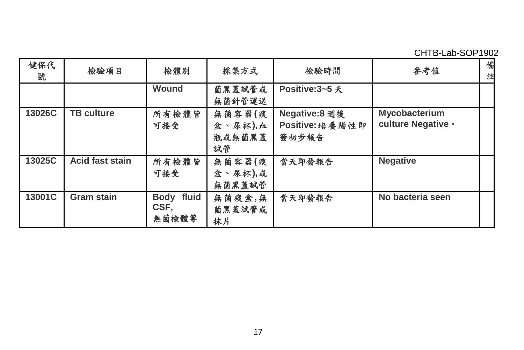CHTB-Lab-SOP1902

| 健保代<br>號 | 檢驗項目              | 檢體別                         | 採集方式                              | 檢驗時間                                      | 參考值                                 | 備<br>註 |
|----------|-------------------|-----------------------------|-----------------------------------|-------------------------------------------|-------------------------------------|--------|
|          |                   | Wound                       | 菌黑蓋試管或<br>無菌針管運送                  | Positive:3~5 夭                            |                                     |        |
| 13026C   | <b>TB culture</b> | 所有檢體皆<br>可接受                | 無菌容器(痰<br>盒、尿杯),血<br>瓶或無菌黑蓋<br>試管 | Negative:8 週後<br>Positive: 培養陽性即<br>發初步報告 | Mycobacterium<br>culture Negative • |        |
| 13025C   | Acid fast stain   | 所有檢體皆<br>可接受                | 無菌容器(痰<br>盒、尿杯),或<br>無菌黑蓋試管       | 當天即發報告                                    | <b>Negative</b>                     |        |
| 13001C   | Gram stain        | Body fluid<br>CSF.<br>無菌檢體等 | 無菌痰盒,無<br>菌黑蓋試管或<br>抹片            | 當天即發報告                                    | No bacteria seen                    |        |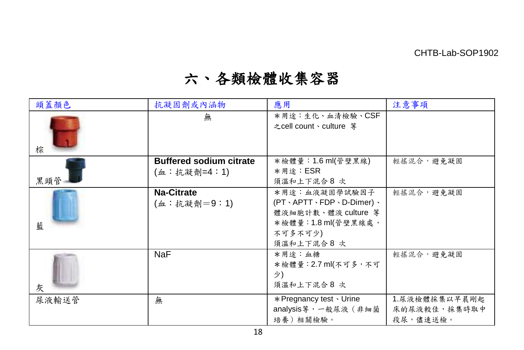# 六、各類檢體收集容器

| 頭蓋顏色  | 抗凝固劑或內涵物                                      | 應用                                                                                                                                    | 注意事項                                      |
|-------|-----------------------------------------------|---------------------------------------------------------------------------------------------------------------------------------------|-------------------------------------------|
| 棕     | 無                                             | *用途:生化、血清檢驗、CSF<br>之cell count、culture 第                                                                                              |                                           |
| 黑頭管   | <b>Buffered sodium citrate</b><br>(血:抗凝劑=4:1) | *檢體量:1.6 ml(管壁黑線)<br>*用途:ESR<br>須溫和上下混合8次                                                                                             | 輕搖混合,避免凝固                                 |
| 藍     | Na-Citrate<br>(血:抗凝劑=9:1)                     | *用途:血液凝固學試驗因子<br>$(PT \cdot APTT \cdot FDP \cdot D-Dimer) \cdot$<br>體液細胞計數、體液 culture 等<br>*檢體量:1.8 ml(管壁黑線處,<br>不可多不可少)<br>須溫和上下混合8次 | 輕搖混合,避免凝固                                 |
| 灰     | <b>NaF</b>                                    | *用途:血糖<br>*檢體量: 2.7 ml(不可多,不可<br>少)<br>須溫和上下混合8次                                                                                      | 輕搖混合,避免凝固                                 |
| 尿液輸送管 | 無                                             | * Pregnancy test · Urine<br>analysis等,一般尿液(非細菌<br>培養)相關檢驗。                                                                            | 1.尿液檢體採集以早晨剛起<br>床的尿液較佳,採集時取中<br>段尿,儘速送檢。 |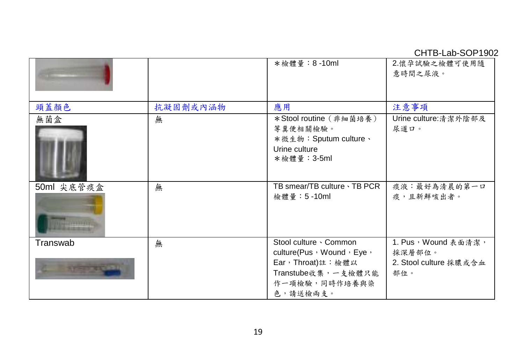CHTB-Lab-SOP1902

|                            |          | *檢體量: 8-10ml                                                                                                              | 2.懷孕試驗之檢體可使用隨<br>意時間之尿液。                                       |
|----------------------------|----------|---------------------------------------------------------------------------------------------------------------------------|----------------------------------------------------------------|
| 頭蓋顏色                       | 抗凝固劑或內涵物 | 應用                                                                                                                        | 注意事項                                                           |
| 無菌盒                        | 無        | *Stool routine (非細菌培養)<br>等糞便相關檢驗。<br>*微生物:Sputum culture、<br>Urine culture<br>*檢體量: 3-5ml                                | Urine culture:清潔外陰部及<br>尿道口。                                   |
| 50ml 尖底管痰盒                 | 無        | TB smear/TB culture · TB PCR<br>檢體量: 5-10ml                                                                               | 痰液:最好為清晨的第一口<br>痰,且新鮮咳出者。                                      |
| Transwab<br><b>ST-STAR</b> | 無        | Stool culture · Common<br>culture(Pus, Wound, Eye,<br>Ear,Throat)註:檢體以<br>Transtube收集,一支檢體只能<br>作一項檢驗,同時作培養與染<br>色,請送檢兩支。 | 1. Pus, Wound 表面清潔,<br>採深層部位。<br>2. Stool culture 採膿或含血<br>部位。 |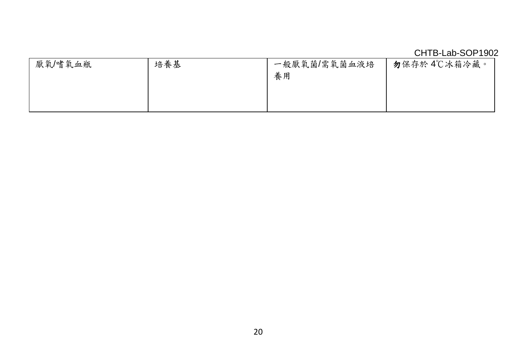|         |     |              | CHTB-Lab-SOP1902 |
|---------|-----|--------------|------------------|
| 厭氧/嗜氧血瓶 | 培養基 | 一般厭氧菌/需氧菌血液培 | 勿保存於 4℃冰箱冷藏。     |
|         |     | 養用           |                  |
|         |     |              |                  |
|         |     |              |                  |
|         |     |              |                  |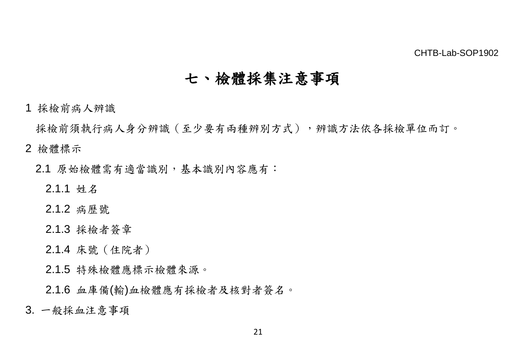# 七、檢體採集注意事項

1 採檢前病人辨識

採檢前須執行病人身分辨識(至少要有兩種辨別方式),辨識方法依各採檢單位而訂。

- 2 檢體標示
	- 2.1 原始檢體需有適當識別,基本識別內容應有:
		- 2.1.1 姓名
		- 2.1.2 病歷號
		- 2.1.3 採檢者簽章
		- 2.1.4 床號(住院者)
		- 2.1.5 特殊檢體應標示檢體來源。
		- 2.1.6 血庫備(輸)血檢體應有採檢者及核對者簽名。
- 3. 一般採血注意事項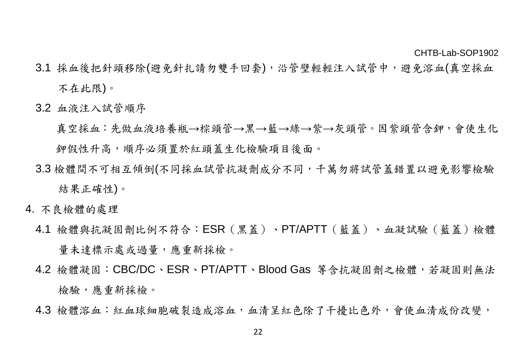- 3.1 採血後把針頭移除(避免針扎請勿雙手回套),沿管壁輕輕注入試管中,避免溶血(真空採血 不在此限)。
- 3.2 血液注入試管順序
	- 真空採血:先做血液培養瓶→棕頭管→黑→藍→綠→紫→灰頭管。因紫頭管含鉀,會使生化 鉀假性升高,順序必須置於紅頭蓋生化檢驗項目後面。
- 3.3 檢體間不可相互傾倒(不同採血試管抗凝劑成分不同,千萬勿將試管蓋錯置以避免影響檢驗 結果正確性)。
- 4. 不良檢體的處理
	- 4.1 檢體與抗凝固劑比例不符合:ESR(黑蓋)、PT/APTT(藍蓋)、血凝試驗(藍蓋)檢體 量未達標示處或過量,應重新採檢。
	- 4.2 檢體凝固:CBC/DC、ESR、PT/APTT、Blood Gas 等含抗凝固劑之檢體,若凝固則無法 檢驗,應重新採檢。
	- 4.3 檢體溶血:紅血球細胞破裂造成溶血,血清呈紅色除了干擾比色外,會使血清成份改變,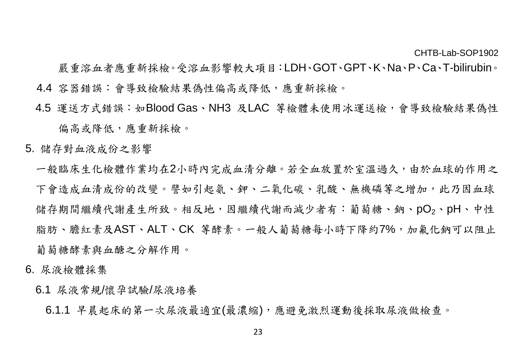- 嚴重溶血者應重新採檢。受溶血影響較大項目:LDH、GOT、GPT、K、Na、P、Ca、T-bilirubin。 4.4 容器錯誤:會導致檢驗結果偽性偏高或降低,應重新採檢。
- 4.5 運送方式錯誤:如Blood Gas、NH3 及LAC 等檢體未使用冰運送檢,會導致檢驗結果偽性 偏高或降低,應重新採檢。
- 5. 儲存對血液成份之影響
	- 一般臨床生化檢體作業均在2小時內完成血清分離。若全血放置於室溫過久,由於血球的作用之 下會造成血清成份的改變。譬如引起氨、鉀、二氧化碳、乳酸、無機磷等之增加,此乃因血球 儲存期間繼續代謝產生所致。相反地,因繼續代謝而減少者有:葡萄糖、鈉、pO<sub>2</sub>、pH、中性 脂肪、膽紅素及AST、ALT、CK 等酵素。一般人葡萄糖每小時下降約7%,加氟化鈉可以阻止 葡萄糖酵素與血醣之分解作用。
- 6. 尿液檢體採集
	- 6.1 尿液常規/懷孕試驗/尿液培養
		- 6.1.1 早晨起床的第一次尿液最適宜(最濃縮),應避免激烈運動後採取尿液做檢查。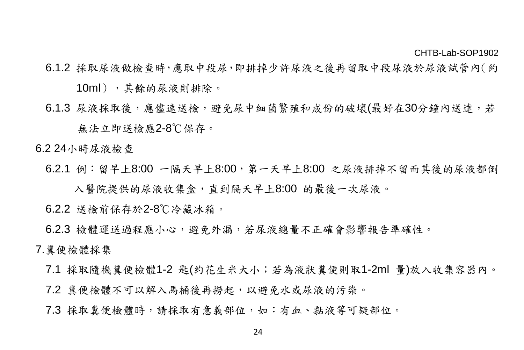- 6.1.2 採取尿液做檢查時,應取中段尿,即排掉少許尿液之後再留取中段尿液於尿液試管內(約 10ml),其餘的尿液則排除。
- 6.1.3 尿液採取後,應儘速送檢,避免尿中細菌繁殖和成份的破壞(最好在30分鐘內送達,若 無法立即送檢應2-8℃保存。

6.2 24小時尿液檢查

6.2.1 例:留早上8:00 一隔天早上8:00,第一天早上8:00 之尿液排掉不留而其後的尿液都倒 入醫院提供的尿液收集盒,直到隔天早上8:00 的最後一次尿液。

6.2.2 送檢前保存於2-8℃冷藏冰箱。

6.2.3 檢體運送過程應小心,避免外漏,若尿液總量不正確會影響報告準確性。

### 7.糞便檢體採集

- 7.1 採取隨機糞便檢體1-2 匙(約花生米大小;若為液狀糞便則取1-2ml 量)放入收集容器內。
- 7.2 糞便檢體不可以解入馬桶後再撈起,以避免水或尿液的污染。
- 7.3 採取糞便檢體時,請採取有意義部位,如:有血、黏液等可疑部位。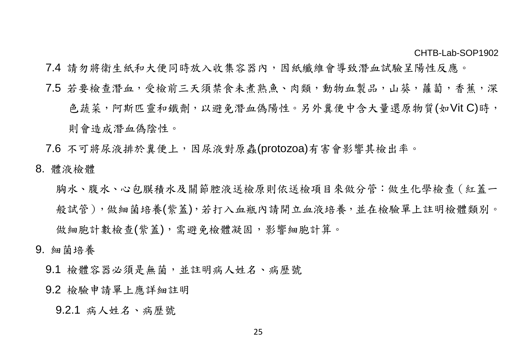- 7.4 請勿將衛生紙和大便同時放入收集容器內,因紙纖維會導致潛血試驗呈陽性反應。
- 7.5 若要檢查潛血,受檢前三天須禁食未煮熟魚、肉類,動物血製品,山葵,蘿蔔,香蕉,深 色蔬菜,阿斯匹靈和鐵劑,以避免潛血偽陽性。另外糞便中含大量還原物質(如Vit C)時, 則會造成潛血偽陰性。
- 7.6 不可將尿液排於糞便上,因尿液對原蟲(protozoa)有害會影響其檢出率。
- 8. 體液檢體

胸水、腹水、心包膜積水及關節腔液送檢原則依送檢項目來做分管:做生化學檢查(紅蓋一 般試管),做細菌培養(紫蓋),若打入血瓶內請開立血液培養,並在檢驗單上註明檢體類別。 做細胞計數檢查(紫蓋),需避免檢體凝固,影響細胞計算。

- 9. 細菌培養
	- 9.1 檢體容器必須是無菌,並註明病人姓名、病歷號
	- 9.2 檢驗申請單上應詳細註明

9.2.1 病人姓名、病歷號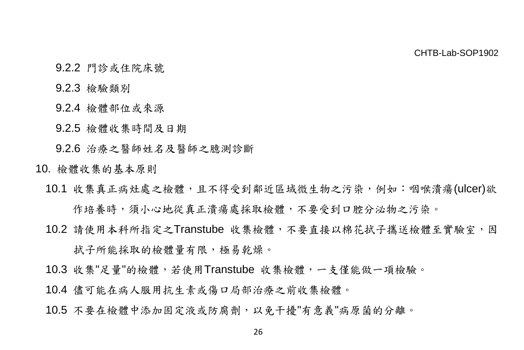- 9.2.2 門診或住院床號
- 9.2.3 檢驗類別
- 9.2.4 檢體部位或來源
- 9.2.5 檢體收集時間及日期

9.2.6 治療之醫師姓名及醫師之臆測診斷

- 10. 檢體收集的基本原則
	- 10.1 收集真正病灶處之檢體,且不得受到鄰近區域微生物之污染,例如:咽喉潰瘍(ulcer)欲 作培養時,須小心地從真正潰瘍處採取檢體,不要受到口腔分泌物之污染。
	- 10.2 請使用本科所指定之Transtube 收集檢體,不要直接以棉花拭子攜送檢體至實驗室,因 拭子所能採取的檢體量有限,極易乾燥。
	- 10.3 收集"足量"的檢體,若使用Transtube 收集檢體,一支僅能做一項檢驗。
	- 10.4 儘可能在病人服用抗生素或傷口局部治療之前收集檢體。
	- 10.5 不要在檢體中添加固定液或防腐劑,以免干擾"有意義"病原菌的分離。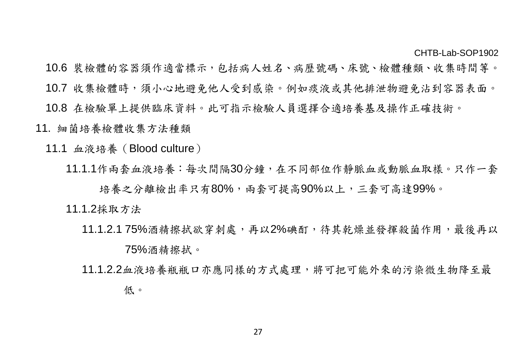- 10.6 裝檢體的容器須作適當標示,包括病人姓名、病歷號碼、床號、檢體種類、收集時間等。
- 10.7 收集檢體時,須小心地避免他人受到感染。例如痰液或其他排泄物避免沾到容器表面。
- 10.8 在檢驗單上提供臨床資料。此可指示檢驗人員選擇合適培養基及操作正確技術。
- 11. 細菌培養檢體收集方法種類
	- 11.1 血液培養(Blood culture)
		- 11.1.1作兩套血液培養:每次間隔30分鐘,在不同部位作靜脈血或動脈血取樣。只作一套
			- 培養之分離檢出率只有80%,兩套可提高90%以上,三套可高達99%。
		- 11.1.2採取方法
			- 11.1.2.1 75%酒精擦拭欲穿刺處,再以2%碘酊,待其乾燥並發揮殺菌作用,最後再以 75%酒精擦拭。
			- 11.1.2.2血液培養瓶瓶口亦應同樣的方式處理,將可把可能外來的污染微生物降至最 低。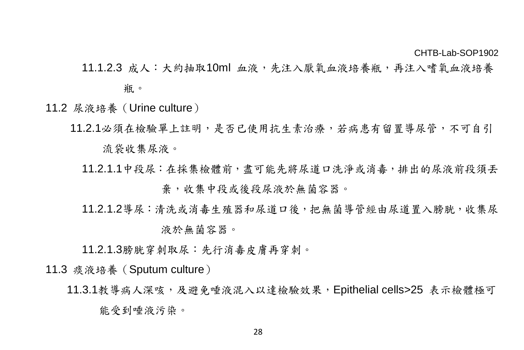11.1.2.3 成人:大約抽取10ml 血液,先注入厭氧血液培養瓶,再注入嗜氧血液培養

瓶。

- 11.2 尿液培養(Urine culture)
	- 11.2.1必須在檢驗單上註明,是否已使用抗生素治療,若病患有留置導尿管,不可自引 流袋收集尿液。
		- 11.2.1.1中段尿:在採集檢體前,盡可能先將尿道口洗淨或消毒,排出的尿液前段須丟 棄,收集中段或後段尿液於無菌容器。
		- 11.2.1.2導尿:清洗或消毒生殖器和尿道口後,把無菌導管經由尿道置入膀胱,收集尿 液於無菌容器。

11.2.1.3膀胱穿刺取尿:先行消毒皮膚再穿刺。

11.3 痰液培養(Sputum culture)

11.3.1教導病人深咳,及避免唾液混入以達檢驗效果,Epithelial cells>25 表示檢體極可 能受到唾液污染。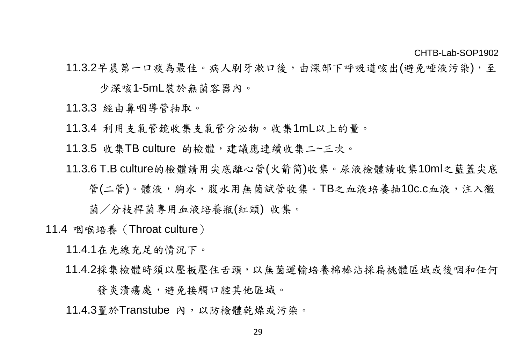11.3.2早晨第一口痰為最佳。病人刷牙漱口後,由深部下呼吸道咳出(避免唾液污染),至

少深咳1-5mL裝於無菌容器內。

11.3.3 經由鼻咽導管抽取。

11.3.4 利用支氣管鏡收集支氣管分泌物。收集1mL以上的量。

11.3.5 收集TB culture 的檢體,建議應連續收集二~三次。

11.3.6 T.B culture的檢體請用尖底離心管(火箭筒)收集。尿液檢體請收集10ml之藍蓋尖底

管(二管)。體液,胸水,腹水用無菌試管收集。TB之血液培養抽10c.c血液,注入黴

菌/分枝桿菌專用血液培養瓶(紅頭) 收集。

11.4 咽喉培養(Throat culture)

11.4.1在光線充足的情況下。

11.4.2採集檢體時須以壓板壓住舌頭,以無菌運輸培養棉棒沾採扁桃體區域或後咽和任何

發炎潰瘍處,避免接觸口腔其他區域。

11.4.3置於Transtube 內,以防檢體乾燥或污染。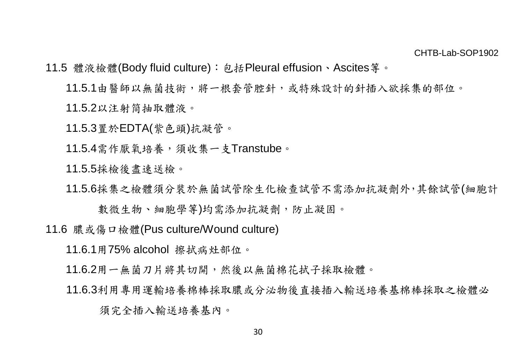- 11.5 體液檢體(Body fluid culture):包括Pleural effusion、Ascites等。
	- 11.5.1由醫師以無菌技術,將一根套管腔針,或特殊設計的針插入欲採集的部位。

11.5.2以注射筒抽取體液。

11.5.3置於EDTA(紫色頭)抗凝管。

11.5.4需作厭氧培養,須收集一支Transtube。

11.5.5採檢後盡速送檢。

11.5.6採集之檢體須分裝於無菌試管除生化檢查試管不需添加抗凝劑外,其餘試管(細胞計

數微生物、細胞學等)均需添加抗凝劑,防止凝固。

11.6 膿或傷口檢體(Pus culture/Wound culture)

11.6.1用75% alcohol 擦拭病灶部位。

11.6.2用一無菌刀片將其切開,然後以無菌棉花拭子採取檢體。

11.6.3利用專用運輸培養棉棒採取膿或分泌物後直接插入輸送培養基棉棒採取之檢體必

須完全插入輸送培養基內。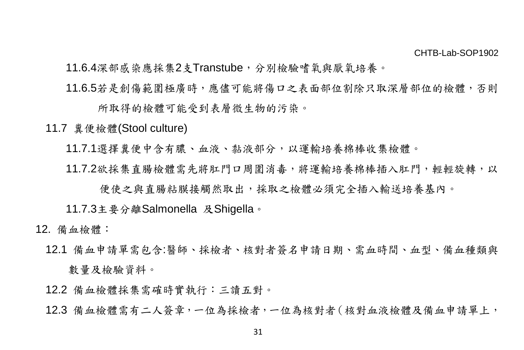11.6.4深部感染應採集2支Transtube,分別檢驗嗜氧與厭氧培養。

11.6.5若是創傷範圍極廣時,應儘可能將傷口之表面部位割除只取深層部位的檢體,否則

所取得的檢體可能受到表層微生物的污染。

11.7 糞便檢體(Stool culture)

11.7.1選擇糞便中含有膿、血液、黏液部分,以運輸培養棉棒收集檢體。

11.7.2欲採集直腸檢體需先將肛門口周圍消毒,將運輸培養棉棒插入肛門,輕輕旋轉,以

便使之與直腸粘膜接觸然取出,採取之檢體必須完全插入輸送培養基內。

11.7.3主要分離Salmonella 及Shigella。

- 12. 備血檢體:
	- 12.1 備血申請單需包含:醫師、採檢者、核對者簽名申請日期、需血時間、血型、備血種類與 數量及檢驗資料。
	- 12.2 備血檢體採集需確時實執行:三讀五對。
	- 12.3 備血檢體需有二人簽章,一位為採檢者,一位為核對者(核對血液檢體及備血申請單上,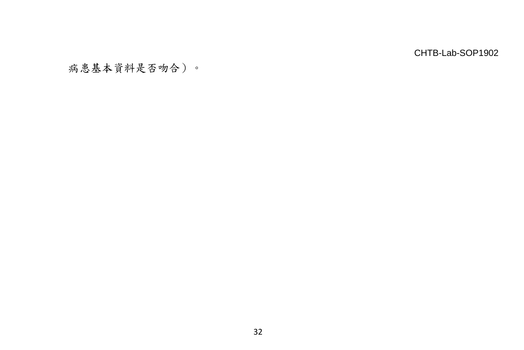病患基本資料是否吻合)。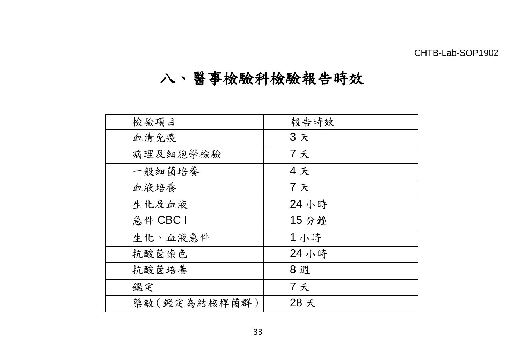# 八、醫事檢驗科檢驗報告時效

| 檢驗項目         | 報告時效  |
|--------------|-------|
| 血清免疫         | 3天    |
| 病理及細胞學檢驗     | 7天    |
| 一般細菌培養       | 4天    |
| 血液培養         | 7天    |
| 生化及血液        | 24 小時 |
| 急件 CBC I     | 15 分鐘 |
| 生化、血液急件      | 1 小時  |
| 抗酸菌染色        | 24 小時 |
| 抗酸菌培養        | 8 週   |
| 鑑定           | 7天    |
| 藥敏(鑑定為結核桿菌群) | 28 夭  |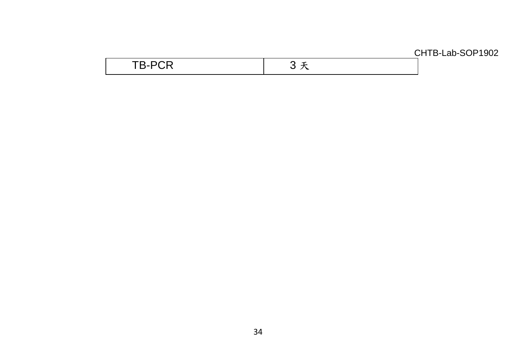| $- - -$ | --- |
|---------|-----|
| .       |     |
|         |     |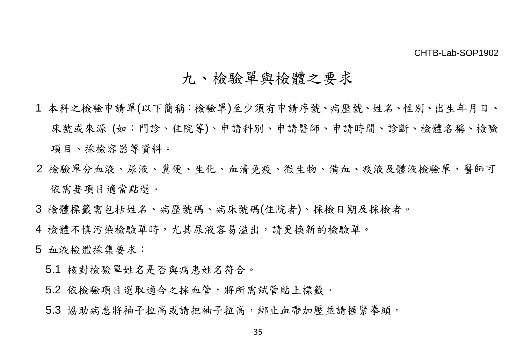### 九、檢驗單與檢體之要求

- 1 本科之檢驗申請單(以下簡稱:檢驗單)至少須有申請序號、病歷號、姓名、性別、出生年月日、 床號或來源 (如:門診、住院等)、申請科別、申請醫師、申請時間、診斷、檢體名稱、檢驗 項目、採檢容器等資料。
- 2 檢驗單分血液、尿液、糞便、生化、血清免疫、微生物、備血、痰液及體液檢驗單,醫師可 依需要項目適當點選。
- 3 檢體標籤需包括姓名、病歷號碼、病床號碼(住院者)、採檢日期及採檢者。
- 4 檢體不慎污染檢驗單時,尤其尿液容易溢出,請更換新的檢驗單。
- 5 血液檢體採集要求:
	- 5.1 核對檢驗單姓名是否與病患姓名符合。
	- 5.2 依檢驗項目選取適合之採血管,將所需試管貼上標籤。
	- 5.3 協助病患將袖子拉高起袖子拉高,綁止血帶加壓並請握緊拳頭。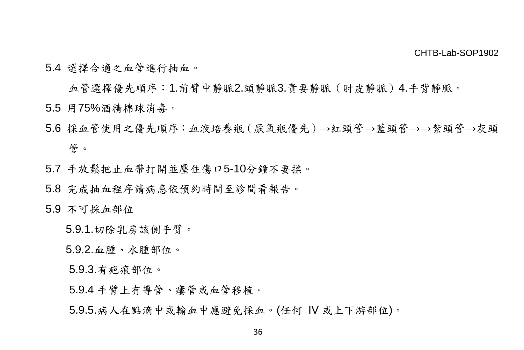5.4 選擇合適之血管進行抽血。

血管選擇優先順序:1.前臂中靜脈2.頭靜脈3.貴要靜脈(肘皮靜脈)4.手背靜脈。

- 5.5 用75%酒精棉球消毒。
- 5.6 採血管使用之優先順序:血液培養瓶(厭氧瓶優先)→紅頭管→藍頭管→→紫頭管→灰頭 管。
- 5.7 手放鬆把止血帶打開並壓住傷口5-10分鐘不要揉。
- 5.8 完成抽血程序請病患依預約時間至診間看報告。

#### 5.9 不可採血部位

5.9.1.切除乳房該側手臂。

5.9.2.血腫、水腫部位。

5.9.3.有疤痕部位。

5.9.4 手臂上有導管、瘻管或血管移植。

5.9.5.病人在點滴中或輸血中應避免採血。(任何 IV 或上下游部位)。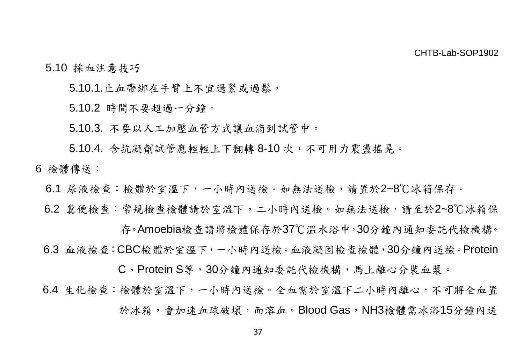### 5.10 採血注意技巧

5.10.1.止血帶綁在手臂上不宜過緊或過鬆。

5.10.2 時間不要超過一分鐘。

5.10.3. 不要以人工加壓血管方式讓血滴到試管中。

5.10.4. 含抗凝劑試管應輕輕上下翻轉 8-10 次,不可用力震盪搖晃。

- 6 檢體傳送:
	- 6.1 尿液檢查:檢體於室溫下,一小時內送檢。如無法送檢,請置於2~8℃冰箱保存。
	- 6.2 糞便檢查:常規檢查檢體請於室溫下,二小時內送檢。如無法送檢,請至於2~8℃冰箱保

存。Amoebia檢查請將檢體保存於37℃溫水浴中,30分鐘內通知委託代檢機構。

6.3 血液檢查:CBC檢體於室溫下,一小時內送檢。血液凝固檢查檢體,30分鐘內送檢。Protein

C、Protein S等,30分鐘內通知委託代檢機構,馬上離心分裝血漿。

6.4 生化檢查:檢體於室溫下,一小時內送檢。全血需於室溫下二小時內離心,不可將全血置 於冰箱,會加速血球破壞,而溶血。Blood Gas,NH3檢體需冰浴15分鐘內送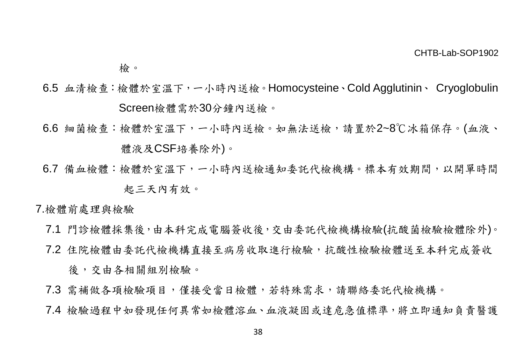檢。

- 6.5 血清檢查:檢體於室溫下,一小時內送檢。Homocysteine、Cold Agglutinin、 Cryoglobulin Screen檢體需於30分鐘內送檢。
- 6.6 細菌檢查:檢體於室溫下,一小時內送檢。如無法送檢,請置於2~8℃冰箱保存。(血液、 體液及CSF培養除外)。
- 6.7 備血檢體:檢體於室溫下,一小時內送檢通知委託代檢機構。標本有效期間,以開單時間 起三天內有效。

7.檢體前處理與檢驗

- 7.1 門診檢體採集後,由本科完成電腦簽收後,交由委託代檢機構檢驗(抗酸菌檢驗檢體除外)。
- 7.2 住院檢體由委託代檢機構直接至病房收取進行檢驗,抗酸性檢驗檢體送至本科完成簽收 後,交由各相關組別檢驗。
- 7.3 需補做各項檢驗項目,僅接受當日檢體,若特殊需求,請聯絡委託代檢機構。
- 7.4 檢驗過程中如發現任何異常如檢體溶血、血液凝固或達危急值標準,將立即通知負責醫護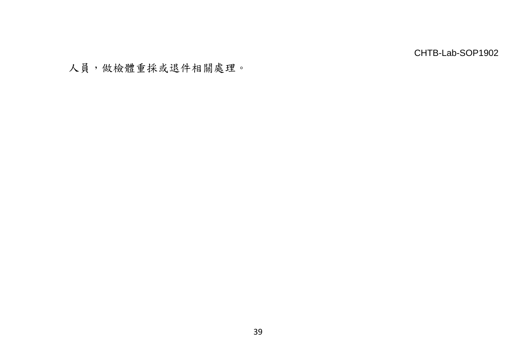人員,做檢體重採或退件相關處理。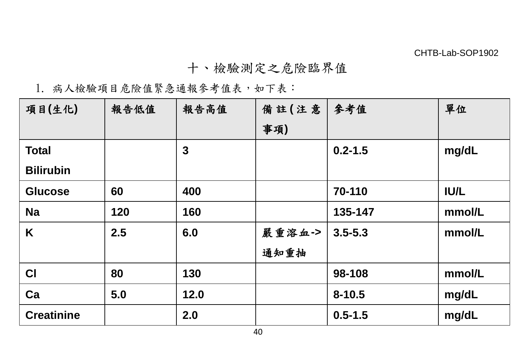### 十、檢驗測定之危險臨界值

### 1. 病人檢驗項目危險值緊急通報參考值表,如下表:

| 項目(生化)            | 報告低值 | 報告高值 | 備註(注意  | 參考值         | 單位          |
|-------------------|------|------|--------|-------------|-------------|
|                   |      |      | 事項)    |             |             |
| <b>Total</b>      |      | 3    |        | $0.2 - 1.5$ | mg/dL       |
| <b>Bilirubin</b>  |      |      |        |             |             |
| <b>Glucose</b>    | 60   | 400  |        | 70-110      | <b>IU/L</b> |
| <b>Na</b>         | 120  | 160  |        | 135-147     | mmol/L      |
| Κ                 | 2.5  | 6.0  | 嚴重溶血-> | $3.5 - 5.3$ | mmol/L      |
|                   |      |      | 通知重抽   |             |             |
| <b>CI</b>         | 80   | 130  |        | 98-108      | mmol/L      |
| Ca                | 5.0  | 12.0 |        | $8 - 10.5$  | mg/dL       |
| <b>Creatinine</b> |      | 2.0  |        | $0.5 - 1.5$ | mg/dL       |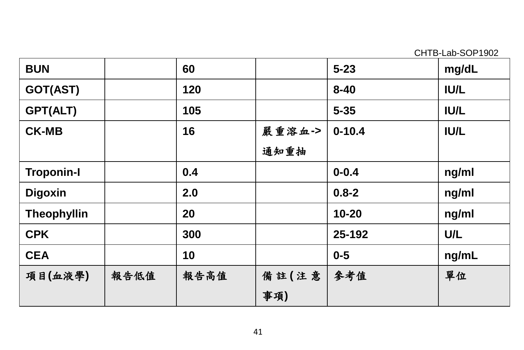| <b>BUN</b>         |      | 60   |        | $5 - 23$   | mg/dL       |
|--------------------|------|------|--------|------------|-------------|
| GOT(AST)           |      | 120  |        | $8 - 40$   | <b>IU/L</b> |
| GPT(ALT)           |      | 105  |        | $5 - 35$   | <b>IU/L</b> |
| <b>CK-MB</b>       |      | 16   | 嚴重溶血-> | $0 - 10.4$ | <b>IU/L</b> |
|                    |      |      | 通知重抽   |            |             |
| <b>Troponin-I</b>  |      | 0.4  |        | $0 - 0.4$  | ng/ml       |
| <b>Digoxin</b>     |      | 2.0  |        | $0.8 - 2$  | ng/ml       |
| <b>Theophyllin</b> |      | 20   |        | $10 - 20$  | ng/ml       |
| <b>CPK</b>         |      | 300  |        | 25-192     | U/L         |
| <b>CEA</b>         |      | 10   |        | $0 - 5$    | ng/mL       |
| 項目(血液學)            | 報告低值 | 報告高值 | 備註(注意  | 參考值        | 單位          |
|                    |      |      | 事項)    |            |             |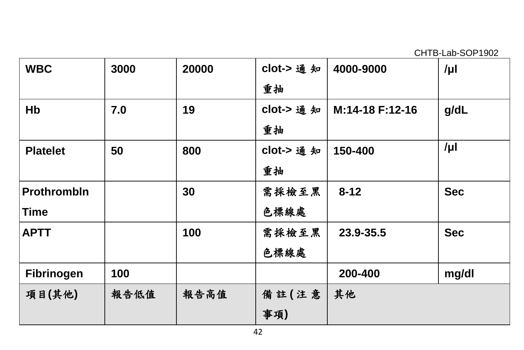| <b>WBC</b>         | 3000 | 20000 | clot-> 通知 | 4000-9000       | /µl        |
|--------------------|------|-------|-----------|-----------------|------------|
|                    |      |       | 重抽        |                 |            |
| Hb                 | 7.0  | 19    | clot-> 通知 | M:14-18 F:12-16 | g/dL       |
|                    |      |       | 重抽        |                 |            |
| <b>Platelet</b>    | 50   | 800   | clot-> 通知 | 150-400         | $/\mu$     |
|                    |      |       | 重抽        |                 |            |
| <b>Prothrombln</b> |      | 30    | 需採檢至黑     | $8 - 12$        | <b>Sec</b> |
| Time               |      |       | 色標線處      |                 |            |
| <b>APTT</b>        |      | 100   | 需採檢至黑     | 23.9-35.5       | <b>Sec</b> |
|                    |      |       | 色標線處      |                 |            |
| Fibrinogen         | 100  |       |           | 200-400         | mg/dl      |
| 項目(其他)             | 報告低值 | 報告高值  | 備註(注意     | 其他              |            |
|                    |      |       | 事項)       |                 |            |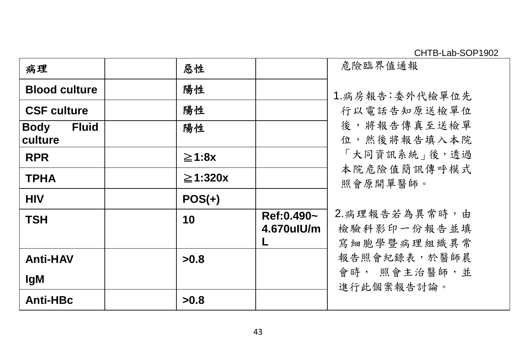| 病理                                             | 惡性            |                              | 危險臨界值通報                                      |
|------------------------------------------------|---------------|------------------------------|----------------------------------------------|
| <b>Blood culture</b>                           | 陽性            |                              | 1.病房報告:委外代檢單位先                               |
| <b>CSF culture</b>                             | 陽性            |                              | 行以電話告知原送檢單位                                  |
| <b>Fluid</b><br><b>Body</b><br><b>lculture</b> | 陽性            |                              | 後,將報告傳真至送檢單<br>位,然後將報告填入本院                   |
| <b>RPR</b>                                     | ≧1:8x         |                              | 「大同資訊系統」後,透過                                 |
| <b>TPHA</b>                                    | $\geq$ 1:320x |                              | 本院危險值簡訊傳呼模式<br>照會原開單醫師。                      |
| <b>HIV</b>                                     | $POS(+)$      |                              |                                              |
| <b>TSH</b>                                     | 10            | Ref: 0.490~<br>$4.670$ ulU/m | 2. 病理報告若為異常時,由<br>檢驗科影印一份報告並填<br>寫細胞學暨病理組織異常 |
| <b>Anti-HAV</b>                                | >0.8          |                              | 報告照會紀錄表,於醫師晨                                 |
| <b>IgM</b>                                     |               |                              | 會時,照會主治醫師,並<br>進行此個案報告討論。                    |
| Anti-HBc                                       | >0.8          |                              |                                              |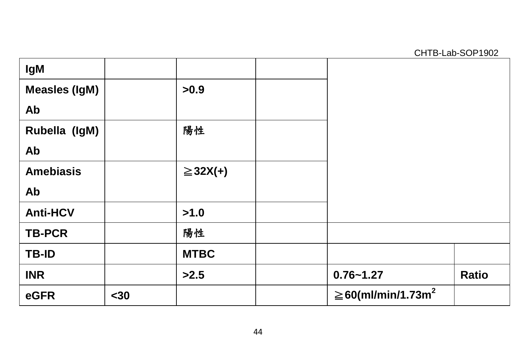| lgM                  |      |               |                                     |       |
|----------------------|------|---------------|-------------------------------------|-------|
| <b>Measles (IgM)</b> |      | >0.9          |                                     |       |
| Ab                   |      |               |                                     |       |
| Rubella (IgM)        |      | 陽性            |                                     |       |
| Ab                   |      |               |                                     |       |
| <b>Amebiasis</b>     |      | $\geq$ 32X(+) |                                     |       |
| Ab                   |      |               |                                     |       |
| <b>Anti-HCV</b>      |      | >1.0          |                                     |       |
| <b>TB-PCR</b>        |      | 陽性            |                                     |       |
| <b>TB-ID</b>         |      | <b>MTBC</b>   |                                     |       |
| <b>INR</b>           |      | >2.5          | $0.76 - 1.27$                       | Ratio |
| eGFR                 | $30$ |               | $\geq$ 60(ml/min/1.73m <sup>2</sup> |       |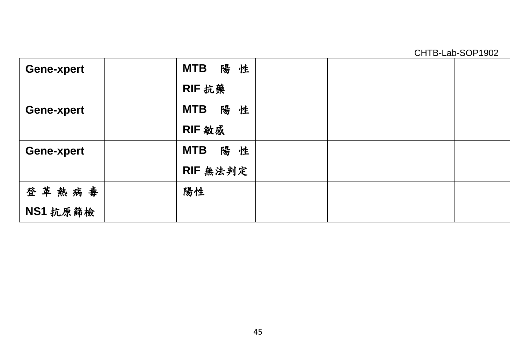| Gene-xpert | 陽性<br>MTB        |
|------------|------------------|
|            | RIF 抗藥           |
| Gene-xpert | 陽性<br><b>MTB</b> |
|            | RIF 敏感           |
| Gene-xpert | 陽性<br><b>MTB</b> |
|            | RIF 無法判定         |
| 登革熱病毒      | 陽性               |
| NS1 抗原篩檢   |                  |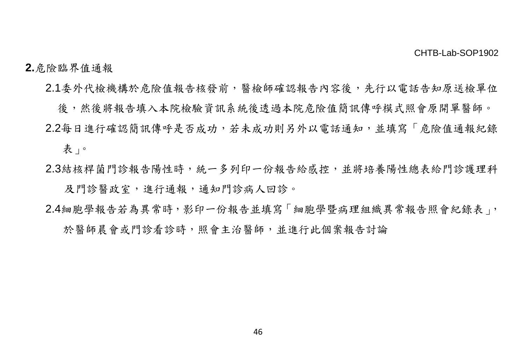### **2.**危險臨界值通報

- 2.1委外代檢機構於危險值報告核發前,醫檢師確認報告內容後,先行以電話告知原送檢單位
- 後,然後將報告填入本院檢驗資訊系統後透過本院危險值簡訊傳呼模式照會原開單醫師。 2.2每日進行確認簡訊傳呼是否成功,若未成功則另外以電話通知,並填寫「危險值通報紀錄 表」。
- 2.3結核桿菌門診報告陽性時,統一多列印一份報告給感控,並將培養陽性總表給門診護理科 及門診醫政室,進行通報,通知門診病人回診。
- 2.4細胞學報告若為異常時,影印一份報告並填寫「細胞學暨病理組織異常報告照會紀錄表」, 於醫師晨會或門診看診時,照會主治醫師,並進行此個案報告討論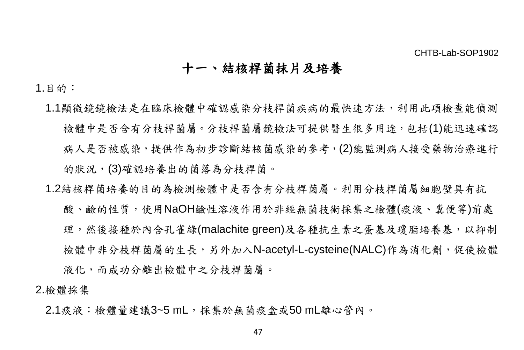### 十一、結核桿菌抹片及培養

1.目的:

- 1.1顯微鏡鏡檢法是在臨床檢體中確認感染分枝桿菌疾病的最快速方法,利用此項檢查能偵測 檢體中是否含有分枝桿菌屬。分枝桿菌屬鏡檢法可提供醫生很多用途,包括(1)能迅速確認 病人是否被感染,提供作為初步診斷結核菌感染的參考,(2)能監測病人接受藥物治療進行 的狀況,(3)確認培養出的菌落為分枝桿菌。
- 1.2結核桿菌培養的目的為檢測檢體中是否含有分枝桿菌屬。利用分枝桿菌屬細胞壁具有抗 酸、鹼的性質,使用NaOH鹼性溶液作用於非經無菌技術採集之檢體(痰液、糞便等)前處 理,然後接種於內含孔雀綠(malachite green)及各種抗生素之蛋基及瓊脂培養基,以抑制 檢體中非分枝桿菌屬的生長,另外加入N-acetyl-L-cysteine(NALC)作為消化劑,促使檢體 液化,而成功分離出檢體中之分枝桿菌屬。

2.檢體採集

2.1痰液:檢體量建議3~5 mL,採集於無菌痰盒或50 mL離心管內。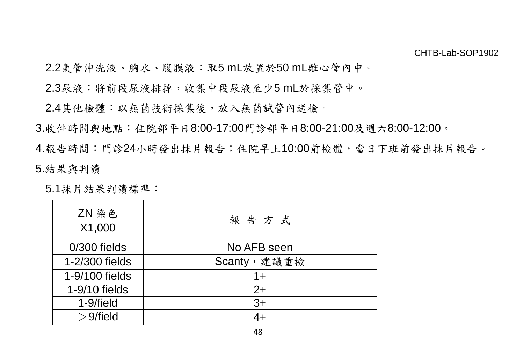2.2氣管沖洗液、胸水、腹膜液:取5 mL放置於50 mL離心管內中。

2.3尿液:將前段尿液排掉,收集中段尿液至少5 mL於採集管中。

2.4其他檢體:以無菌技術採集後,放入無菌試管內送檢。

3.收件時間與地點:住院部平日8:00-17:00門診部平日8:00-21:00及週六8:00-12:00。

4.報告時間:門診24小時發出抹片報告;住院早上10:00前檢體,當日下班前發出抹片報告。 5.結果與判讀

5.1抹片結果判讀標準:

| ZN 染色<br>X1,000 | 報告方式        |  |  |
|-----------------|-------------|--|--|
| $0/300$ fields  | No AFB seen |  |  |
| 1-2/300 fields  | Scanty,建議重檢 |  |  |
| 1-9/100 fields  | 1+          |  |  |
| 1-9/10 fields   | $2+$        |  |  |
| 1-9/field       | $3+$        |  |  |
| $>9$ /field     | 4+          |  |  |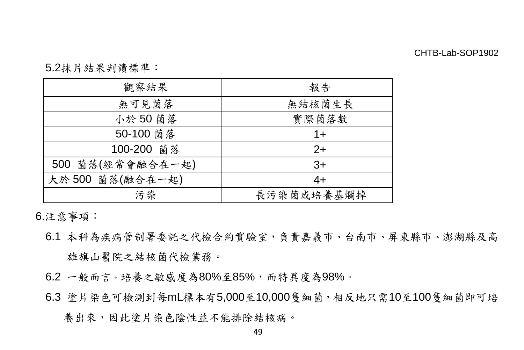5.2抹片結果判讀標準:

| 觀察結果             | 報告         |  |  |
|------------------|------------|--|--|
| 無可見菌落            | 無結核菌生長     |  |  |
| 小於50菌落           | 實際菌落數      |  |  |
| 50-100 菌落        | $1 +$      |  |  |
| 100-200 菌落       | $2+$       |  |  |
| 500 菌落(經常會融合在一起) | $3+$       |  |  |
| 大於500 菌落(融合在一起)  | $4+$       |  |  |
| 污染               | 長污染菌或培養基爛掉 |  |  |

6.注意事項:

- 6.1 本科為疾病管制署委託之代檢合約實驗室,負責嘉義市、台南市、屏東縣市、澎湖縣及高 雄旗山醫院之結核菌代檢業務。
- 6.2 一般而言,培養之敏感度為80%至85%,而特異度為98%。
- 6.3 塗片染色可檢測到每mL標本有5,000至10,000隻細菌,相反地只需10至100隻細菌即可培

養出來,因此塗片染色陰性並不能排除結核病。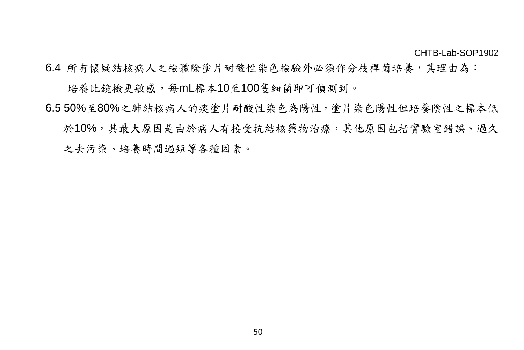6.4 所有懷疑結核病人之檢體除塗片耐酸性染色檢驗外必須作分枝桿菌培養,其理由為:

培養比鏡檢更敏感,每mL標本10至100隻細菌即可偵測到。

6.5 50%至80%之肺結核病人的痰塗片耐酸性染色為陽性,塗片染色陽性但培養陰性之標本低 於10%,其最大原因是由於病人有接受抗結核藥物治療,其他原因包括實驗室錯誤、過久 之去污染、培養時間過短等各種因素。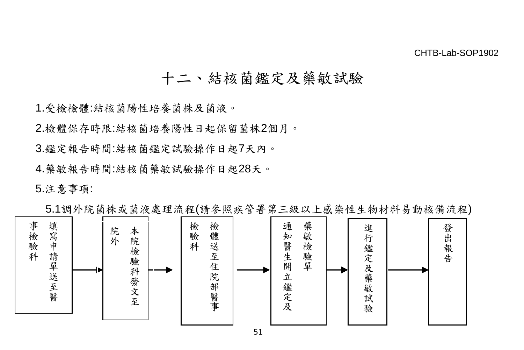## 十二、結核菌鑑定及藥敏試驗

1.受檢檢體:結核菌陽性培養菌株及菌液。

2.檢體保存時限:結核菌培養陽性日起保留菌株2個月。

3.鑑定報告時間:結核菌鑑定試驗操作日起7天內。

4.藥敏報告時間:結核菌藥敏試驗操作日起28天。

5.注意事項:



5.1調外院菌株或菌液處理流程(請參照疾管署第三級以上感染性生物材料易動核備流程)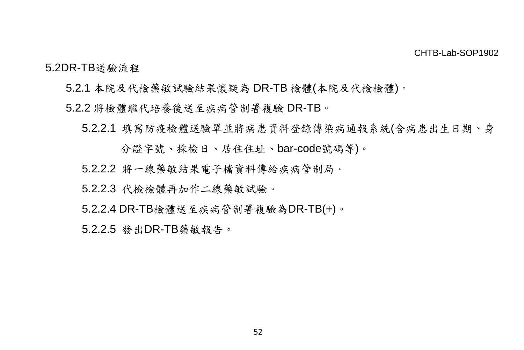5.2DR-TB送驗流程

- 5.2.1 本院及代檢藥敏試驗結果懷疑為 DR-TB 檢體(本院及代檢檢體)。
- 5.2.2 將檢體繼代培養後送至疾病管制署複驗 DR-TB。
	- 5.2.2.1 填寫防疫檢體送驗單並將病患資料登錄傳染病通報系統(含病患出生日期、身

分證字號、採檢日、居住住址、bar-code號碼等)。

- 5.2.2.2 將一線藥敏結果電子檔資料傳給疾病管制局。
- 5.2.2.3 代檢檢體再加作二線藥敏試驗。
- 5.2.2.4 DR-TB檢體送至疾病管制署複驗為DR-TB(+)。

5.2.2.5 發出DR-TB藥敏報告。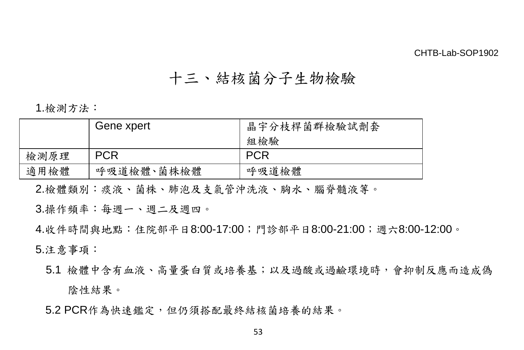## 十三、結核菌分子生物檢驗

1.檢測方法:

|      | Gene xpert | 晶宇分枝桿菌群檢驗試劑套<br>組檢驗 |  |  |
|------|------------|---------------------|--|--|
| 檢測原理 | <b>PCR</b> | <b>PCR</b>          |  |  |
| 適用檢體 | 呼吸道檢體、菌株檢體 | 呼吸道檢體               |  |  |

2.檢體類別:痰液、菌株、肺泡及支氣管沖洗液、胸水、腦脊髓液等。

3.操作頻率:每週一、週二及週四。

4.收件時間與地點:住院部平日8:00-17:00;門診部平日8:00-21:00;週六8:00-12:00。 5.注意事項:

5.1 檢體中含有血液、高量蛋白質或培養基;以及過酸或過鹼環境時,會抑制反應而造成偽 陰性結果。

5.2 PCR作為快速鑑定,但仍須搭配最終結核菌培養的結果。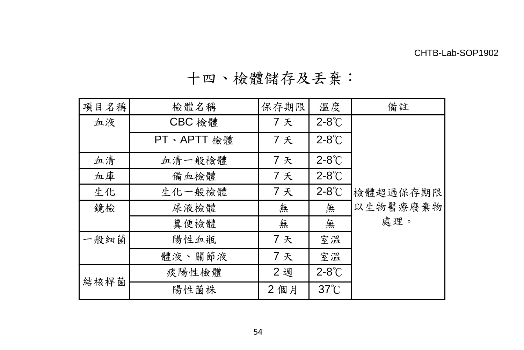十四、檢體儲存及丟棄:

| 項目名稱 | 檢體名稱       | 保存期限 | 溫度              | 備註       |
|------|------------|------|-----------------|----------|
| 血液   | CBC 檢體     | 7天   | $2-8^\circ$ C   |          |
|      | PT、APTT 檢體 | 7天   | $2-8^\circ$ C   |          |
| 血清   | 血清一般檢體     | 7天   | $2-8^\circ$ C   |          |
| 血庫   | 備血檢體       | 7天   | $2-8^{\circ}$ C |          |
| 生化   | 生化一般檢體     | 7天   | $2-8^{\circ}$ C | 檢體超過保存期限 |
| 鏡檢   | 尿液檢體       | 無    | 無               | 以生物醫療廢棄物 |
|      | 糞便檢體       | 無    | 無               | 處理。      |
| 一般細菌 | 陽性血瓶       | 7天   | 室溫              |          |
|      | 體液、關節液     | 7天   | 室溫              |          |
| 結核桿菌 | 痰陽性檢體      | 2週   | $2-8^{\circ}$ C |          |
|      | 陽性菌株       | 2個月  | $37^{\circ}$ C  |          |